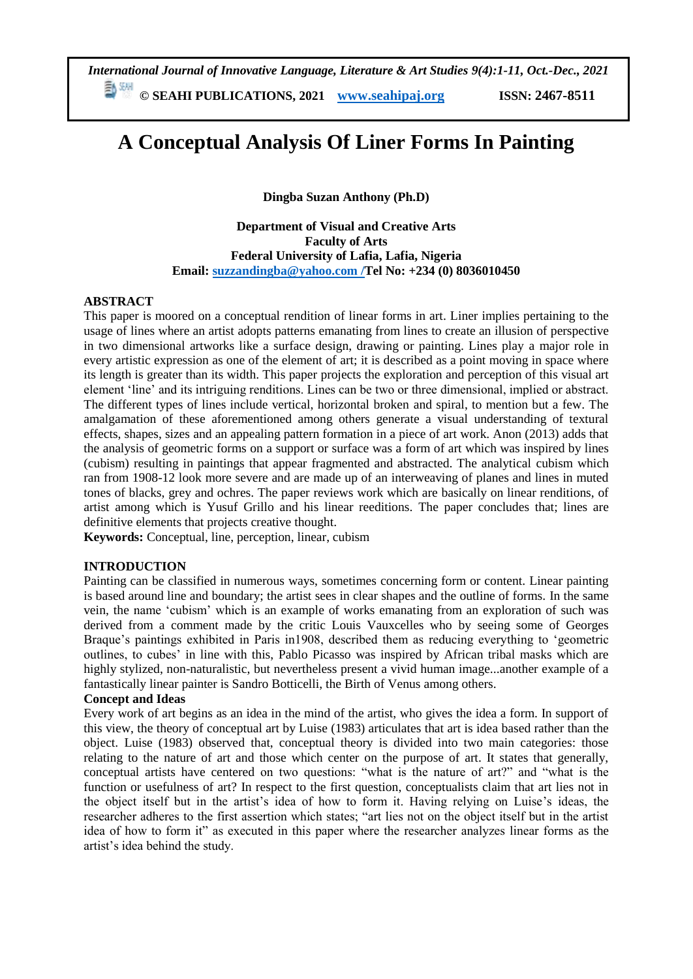*International Journal of Innovative Language, Literature & Art Studies 9(4):1-11, Oct.-Dec., 2021*

**© SEAHI PUBLICATIONS, 2021 [www.seahipaj.org](http://www.seahipaj.org/) ISSN: 2467-8511**

# **A Conceptual Analysis Of Liner Forms In Painting**

**Dingba Suzan Anthony (Ph.D)**

**Department of Visual and Creative Arts Faculty of Arts Federal University of Lafia, Lafia, Nigeria Email: [suzzandingba@yahoo.com](mailto:suzzandingba@yahoo.com) /Tel No: +234 (0) 8036010450**

## **ABSTRACT**

This paper is moored on a conceptual rendition of linear forms in art. Liner implies pertaining to the usage of lines where an artist adopts patterns emanating from lines to create an illusion of perspective in two dimensional artworks like a surface design, drawing or painting. Lines play a major role in every artistic expression as one of the element of art; it is described as a point moving in space where its length is greater than its width. This paper projects the exploration and perception of this visual art element 'line' and its intriguing renditions. Lines can be two or three dimensional, implied or abstract. The different types of lines include vertical, horizontal broken and spiral, to mention but a few. The amalgamation of these aforementioned among others generate a visual understanding of textural effects, shapes, sizes and an appealing pattern formation in a piece of art work. Anon (2013) adds that the analysis of geometric forms on a support or surface was a form of art which was inspired by lines (cubism) resulting in paintings that appear fragmented and abstracted. The analytical cubism which ran from 1908-12 look more severe and are made up of an interweaving of planes and lines in muted tones of blacks, grey and ochres. The paper reviews work which are basically on linear renditions, of artist among which is Yusuf Grillo and his linear reeditions. The paper concludes that; lines are definitive elements that projects creative thought.

**Keywords:** Conceptual, line, perception, linear, cubism

## **INTRODUCTION**

Painting can be classified in numerous ways, sometimes concerning form or content. Linear painting is based around line and boundary; the artist sees in clear shapes and the outline of forms. In the same vein, the name 'cubism' which is an example of works emanating from an exploration of such was derived from a comment made by the critic Louis Vauxcelles who by seeing some of Georges Braque's paintings exhibited in Paris in1908, described them as reducing everything to 'geometric outlines, to cubes' in line with this, Pablo Picasso was inspired by African tribal masks which are highly stylized, non-naturalistic, but nevertheless present a vivid human image...another example of a fantastically linear painter is Sandro Botticelli, the Birth of Venus among others.

#### **Concept and Ideas**

Every work of art begins as an idea in the mind of the artist, who gives the idea a form. In support of this view, the theory of conceptual art by Luise (1983) articulates that art is idea based rather than the object. Luise (1983) observed that, conceptual theory is divided into two main categories: those relating to the nature of art and those which center on the purpose of art. It states that generally, conceptual artists have centered on two questions: "what is the nature of art?" and "what is the function or usefulness of art? In respect to the first question, conceptualists claim that art lies not in the object itself but in the artist's idea of how to form it. Having relying on Luise's ideas, the researcher adheres to the first assertion which states; "art lies not on the object itself but in the artist idea of how to form it" as executed in this paper where the researcher analyzes linear forms as the artist's idea behind the study.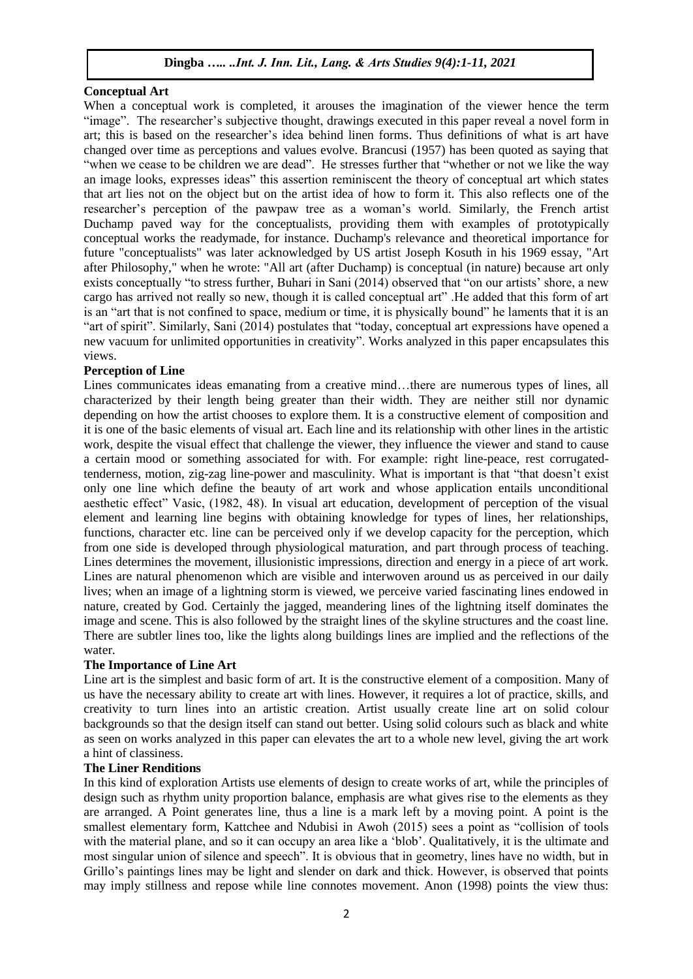## **Conceptual Art**

When a conceptual work is completed, it arouses the imagination of the viewer hence the term "image". The researcher's subjective thought, drawings executed in this paper reveal a novel form in art; this is based on the researcher's idea behind linen forms. Thus definitions of what is art have changed over time as perceptions and values evolve. Brancusi (1957) has been quoted as saying that "when we cease to be children we are dead". He stresses further that "whether or not we like the way an image looks, expresses ideas" this assertion reminiscent the theory of conceptual art which states that art lies not on the object but on the artist idea of how to form it. This also reflects one of the researcher's perception of the pawpaw tree as a woman's world. Similarly, the French artist [Duchamp](http://en.wikipedia.org/wiki/Marcel_Duchamp) paved way for the conceptualists, providing them with examples of prototypically conceptual works the [readymade,](http://en.wikipedia.org/wiki/Readymade) for instance. Duchamp's relevance and theoretical importance for future "conceptualists" was later acknowledged by US artist [Joseph Kosuth](http://en.wikipedia.org/wiki/Joseph_Kosuth) in his 1969 essay, "Art after Philosophy," when he wrote: "All art (after Duchamp) is conceptual (in nature) because art only exists conceptually "to stress further, Buhari in Sani (2014) observed that "on our artists' shore, a new cargo has arrived not really so new, though it is called conceptual art" .He added that this form of art is an "art that is not confined to space, medium or time, it is physically bound" he laments that it is an "art of spirit". Similarly, Sani (2014) postulates that "today, conceptual art expressions have opened a new vacuum for unlimited opportunities in creativity". Works analyzed in this paper encapsulates this views.

## **Perception of Line**

Lines communicates ideas emanating from a creative mind…there are numerous types of lines, all characterized by their length being greater than their width. They are neither still nor dynamic depending on how the artist chooses to explore them. It is a constructive element of composition and it is one of the basic elements of visual art. Each line and its relationship with other lines in the artistic work, despite the visual effect that challenge the viewer, they influence the viewer and stand to cause a certain mood or something associated for with. For example: right line-peace, rest corrugatedtenderness, motion, zig-zag line-power and masculinity. What is important is that "that doesn't exist only one line which define the beauty of art work and whose application entails unconditional aesthetic effect" Vasic, (1982, 48). In visual art education, development of perception of the visual element and learning line begins with obtaining knowledge for types of lines, her relationships, functions, character etc. line can be perceived only if we develop capacity for the perception, which from one side is developed through physiological maturation, and part through process of teaching. Lines determines the movement, illusionistic impressions, direction and energy in a piece of art work. Lines are natural phenomenon which are visible and interwoven around us as perceived in our daily lives; when an image of a lightning storm is viewed, we perceive varied fascinating lines endowed in nature, created by God. Certainly the jagged, meandering lines of the lightning itself dominates the image and scene. This is also followed by the straight lines of the skyline structures and the coast line. There are subtler lines too, like the lights along buildings lines are implied and the reflections of the water.

## **The Importance of Line Art**

Line art is the simplest and basic form of art. It is the constructive element of a composition. Many of us have the necessary ability to create art with lines. However, it requires a lot of practice, skills, and creativity to turn lines into an artistic creation. Artist usually create line art on solid colour backgrounds so that the design itself can stand out better. Using solid colours such as black and white as seen on works analyzed in this paper can elevates the art to a whole new level, giving the art work a hint of classiness.

## **The Liner Renditions**

In this kind of exploration Artists use elements of design to create works of art, while the principles of design such as rhythm unity proportion balance, emphasis are what gives rise to the elements as they are arranged. A Point generates line, thus a line is a mark left by a moving point. A point is the smallest elementary form, Kattchee and Ndubisi in Awoh (2015) sees a point as "collision of tools with the material plane, and so it can occupy an area like a 'blob'. Qualitatively, it is the ultimate and most singular union of silence and speech". It is obvious that in geometry, lines have no width, but in Grillo's paintings lines may be light and slender on dark and thick. However, is observed that points may imply stillness and repose while line connotes movement. Anon (1998) points the view thus: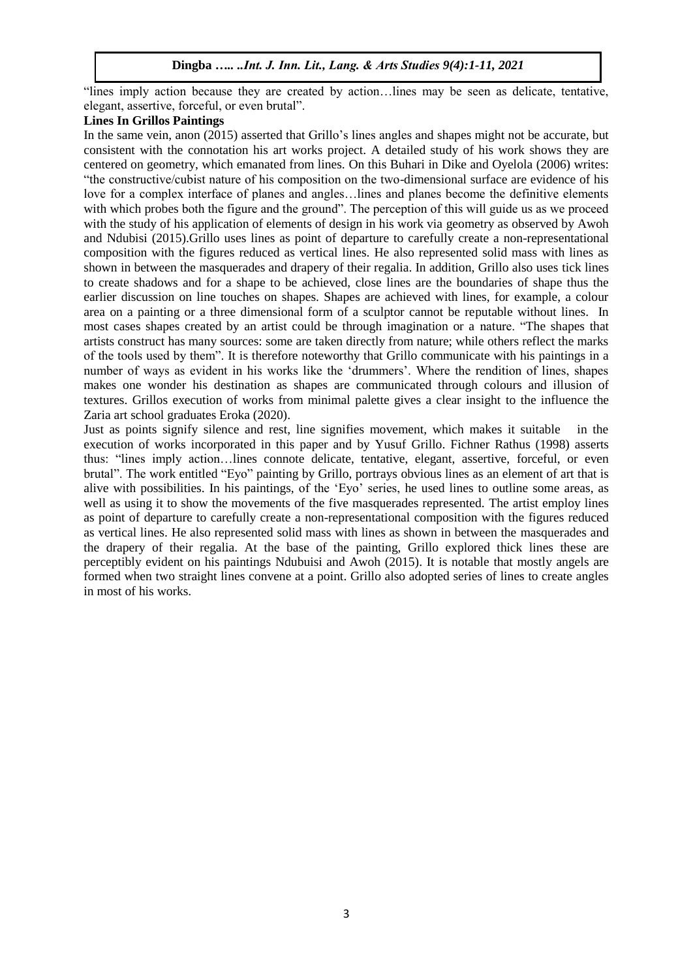"lines imply action because they are created by action…lines may be seen as delicate, tentative, elegant, assertive, forceful, or even brutal".

## **Lines In Grillos Paintings**

In the same vein, anon (2015) asserted that Grillo's lines angles and shapes might not be accurate, but consistent with the connotation his art works project. A detailed study of his work shows they are centered on geometry, which emanated from lines. On this Buhari in Dike and Oyelola (2006) writes: "the constructive/cubist nature of his composition on the two-dimensional surface are evidence of his love for a complex interface of planes and angles…lines and planes become the definitive elements with which probes both the figure and the ground". The perception of this will guide us as we proceed with the study of his application of elements of design in his work via geometry as observed by Awoh and Ndubisi (2015).Grillo uses lines as point of departure to carefully create a non-representational composition with the figures reduced as vertical lines. He also represented solid mass with lines as shown in between the masquerades and drapery of their regalia. In addition, Grillo also uses tick lines to create shadows and for a shape to be achieved, close lines are the boundaries of shape thus the earlier discussion on line touches on shapes. Shapes are achieved with lines, for example, a colour area on a painting or a three dimensional form of a sculptor cannot be reputable without lines. In most cases shapes created by an artist could be through imagination or a nature. "The shapes that artists construct has many sources: some are taken directly from nature; while others reflect the marks of the tools used by them". It is therefore noteworthy that Grillo communicate with his paintings in a number of ways as evident in his works like the 'drummers'. Where the rendition of lines, shapes makes one wonder his destination as shapes are communicated through colours and illusion of textures. Grillos execution of works from minimal palette gives a clear insight to the influence the Zaria art school graduates Eroka (2020).

Just as points signify silence and rest, line signifies movement, which makes it suitable in the execution of works incorporated in this paper and by Yusuf Grillo. Fichner Rathus (1998) asserts thus: "lines imply action…lines connote delicate, tentative, elegant, assertive, forceful, or even brutal". The work entitled "Eyo" painting by Grillo, portrays obvious lines as an element of art that is alive with possibilities. In his paintings, of the 'Eyo' series, he used lines to outline some areas, as well as using it to show the movements of the five masquerades represented. The artist employ lines as point of departure to carefully create a non-representational composition with the figures reduced as vertical lines. He also represented solid mass with lines as shown in between the masquerades and the drapery of their regalia. At the base of the painting, Grillo explored thick lines these are perceptibly evident on his paintings Ndubuisi and Awoh (2015). It is notable that mostly angels are formed when two straight lines convene at a point. Grillo also adopted series of lines to create angles in most of his works.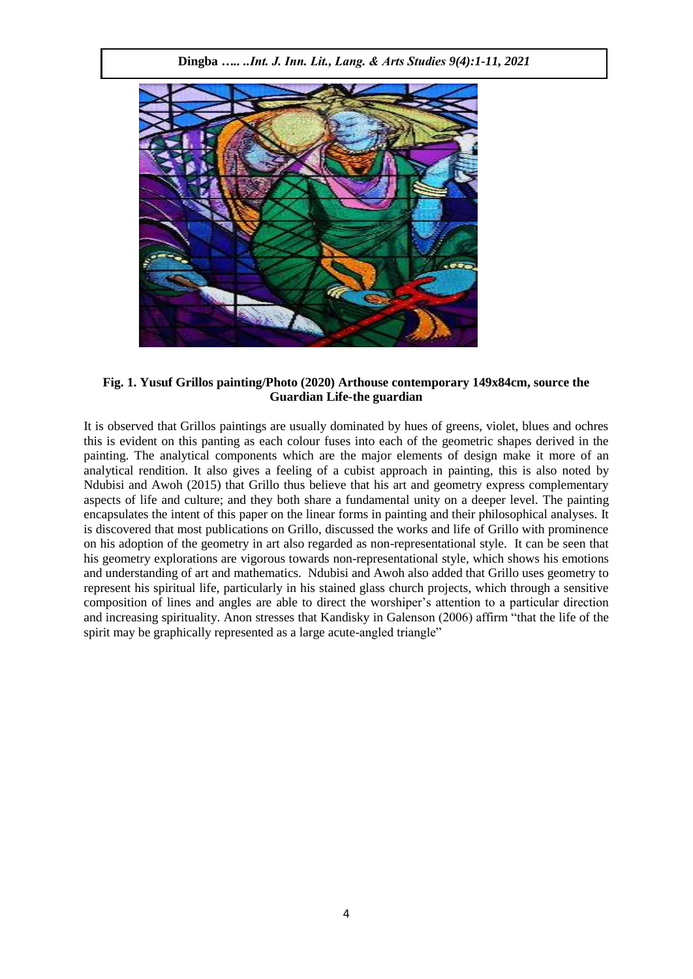

**Fig. 1. Yusuf Grillos painting/Photo (2020) Arthouse contemporary 149x84cm, source the Guardian Life-the guardian**

It is observed that Grillos paintings are usually dominated by hues of greens, violet, blues and ochres this is evident on this panting as each colour fuses into each of the geometric shapes derived in the painting. The analytical components which are the major elements of design make it more of an analytical rendition. It also gives a feeling of a cubist approach in painting, this is also noted by Ndubisi and Awoh (2015) that Grillo thus believe that his art and geometry express complementary aspects of life and culture; and they both share a fundamental unity on a deeper level. The painting encapsulates the intent of this paper on the linear forms in painting and their philosophical analyses. It is discovered that most publications on Grillo, discussed the works and life of Grillo with prominence on his adoption of the geometry in art also regarded as non-representational style. It can be seen that his geometry explorations are vigorous towards non-representational style, which shows his emotions and understanding of art and mathematics. Ndubisi and Awoh also added that Grillo uses geometry to represent his spiritual life, particularly in his stained glass church projects, which through a sensitive composition of lines and angles are able to direct the worshiper's attention to a particular direction and increasing spirituality. Anon stresses that Kandisky in Galenson (2006) affirm "that the life of the spirit may be graphically represented as a large acute-angled triangle"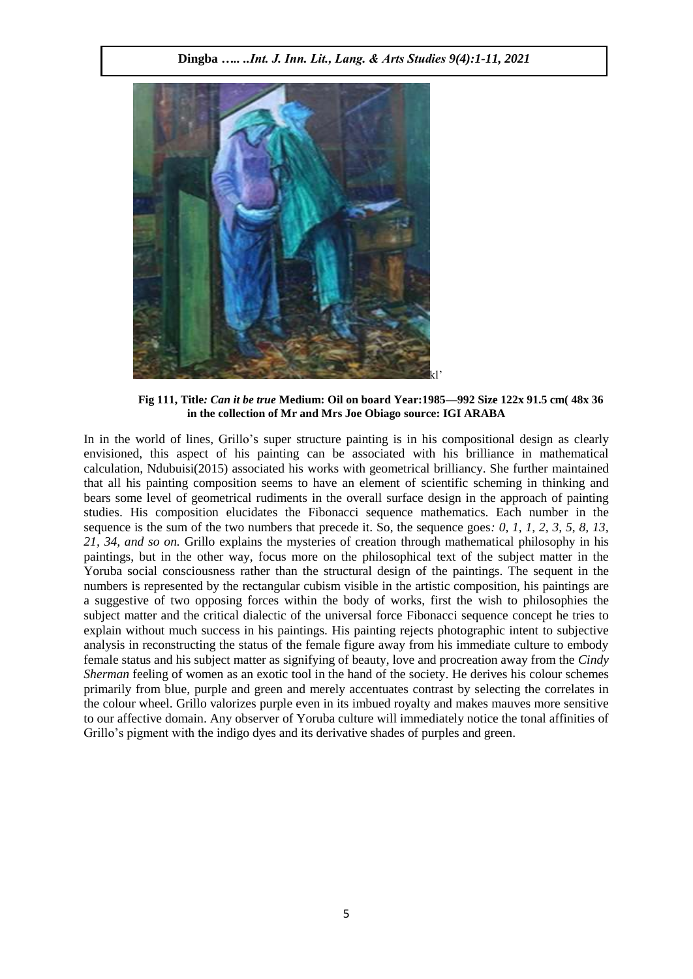

**Fig 111, Title***: Can it be true* **Medium: Oil on board Year:1985—992 Size 122x 91.5 cm( 48x 36 in the collection of Mr and Mrs Joe Obiago source: IGI ARABA**

In in the world of lines, Grillo's super structure painting is in his compositional design as clearly envisioned, this aspect of his painting can be associated with his brilliance in mathematical calculation, Ndubuisi(2015) associated his works with geometrical brilliancy. She further maintained that all his painting composition seems to have an element of scientific scheming in thinking and bears some level of geometrical rudiments in the overall surface design in the approach of painting studies. His composition elucidates the Fibonacci sequence mathematics. Each number in the sequence is the sum of the two numbers that precede it. So, the sequence goes: 0, 1, 1, 2, 3, 5, 8, 13, *21, 34, and so on.* Grillo explains the mysteries of creation through mathematical philosophy in his paintings, but in the other way, focus more on the philosophical text of the subject matter in the Yoruba social consciousness rather than the structural design of the paintings. The sequent in the numbers is represented by the rectangular cubism visible in the artistic composition, his paintings are a suggestive of two opposing forces within the body of works, first the wish to philosophies the subject matter and the critical dialectic of the universal force Fibonacci sequence concept he tries to explain without much success in his paintings. His painting rejects photographic intent to subjective analysis in reconstructing the status of the female figure away from his immediate culture to embody female status and his subject matter as signifying of beauty, love and procreation away from the *Cindy Sherman* feeling of women as an exotic tool in the hand of the society. He derives his colour schemes primarily from blue, purple and green and merely accentuates contrast by selecting the correlates in the colour wheel. Grillo valorizes purple even in its imbued royalty and makes mauves more sensitive to our affective domain. Any observer of Yoruba culture will immediately notice the tonal affinities of Grillo's pigment with the indigo dyes and its derivative shades of purples and green.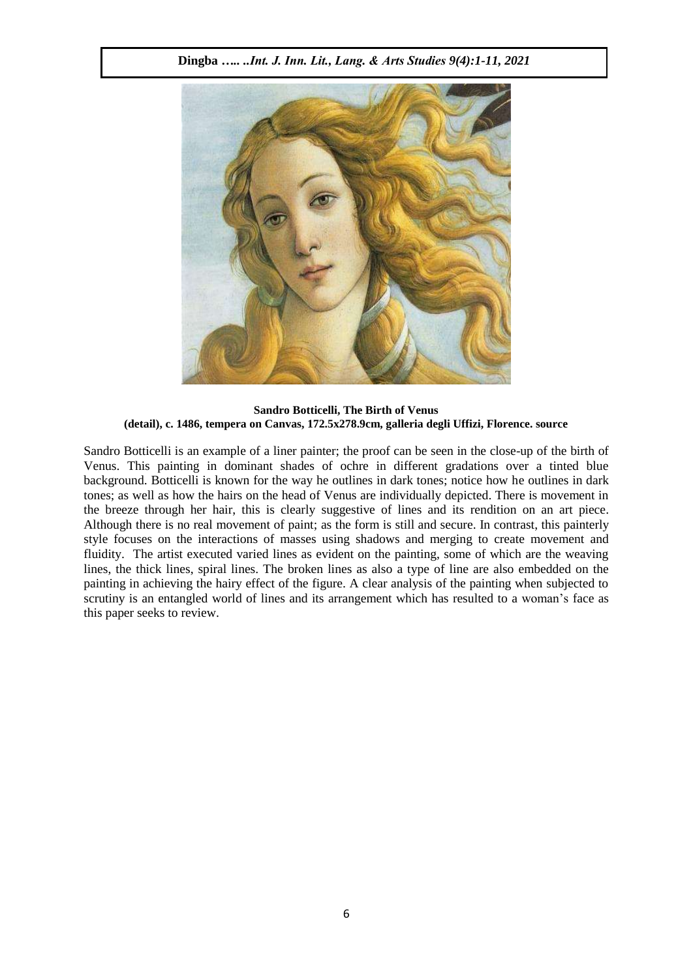

**Sandro Botticelli, The Birth of Venus (detail), c. 1486, tempera on Canvas, 172.5x278.9cm, galleria degli Uffizi, Florence. source**

Sandro Botticelli is an example of a liner painter; the proof can be seen in the close-up of the birth of Venus. This painting in dominant shades of ochre in different gradations over a tinted blue background. Botticelli is known for the way he outlines in dark tones; notice how he outlines in dark tones; as well as how the hairs on the head of Venus are individually depicted. There is movement in the breeze through her hair, this is clearly suggestive of lines and its rendition on an art piece. Although there is no real movement of paint; as the form is still and secure. In contrast, this painterly style focuses on the interactions of masses using shadows and merging to create movement and fluidity. The artist executed varied lines as evident on the painting, some of which are the weaving lines, the thick lines, spiral lines. The broken lines as also a type of line are also embedded on the painting in achieving the hairy effect of the figure. A clear analysis of the painting when subjected to scrutiny is an entangled world of lines and its arrangement which has resulted to a woman's face as this paper seeks to review.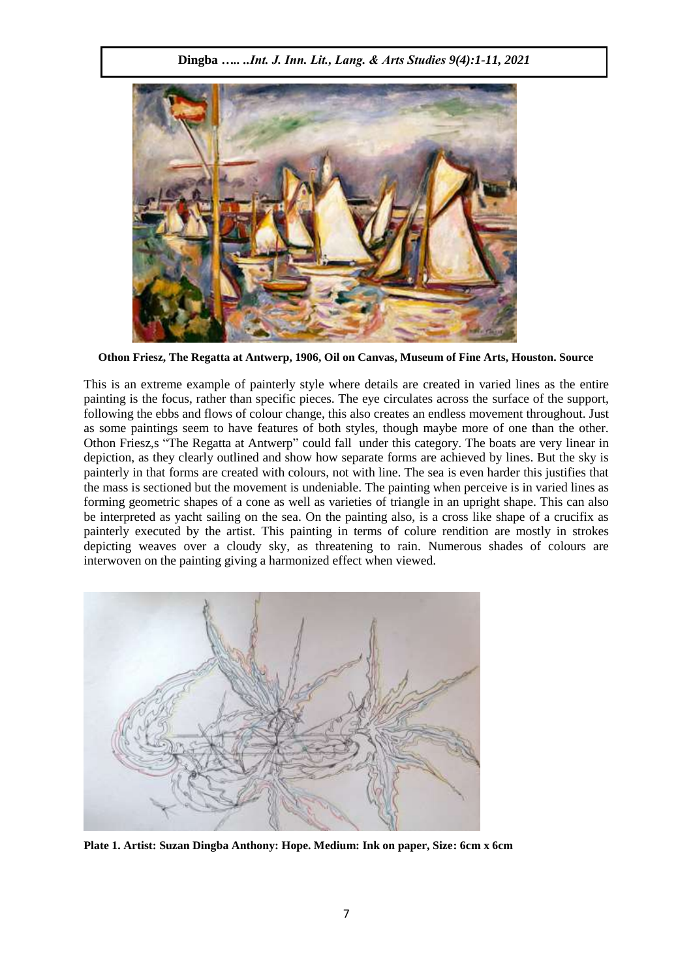

**Othon Friesz, The Regatta at Antwerp, 1906, Oil on Canvas, Museum of Fine Arts, Houston. Source**

This is an extreme example of painterly style where details are created in varied lines as the entire painting is the focus, rather than specific pieces. The eye circulates across the surface of the support, following the ebbs and flows of colour change, this also creates an endless movement throughout. Just as some paintings seem to have features of both styles, though maybe more of one than the other. Othon Friesz,s "The Regatta at Antwerp" could fall under this category. The boats are very linear in depiction, as they clearly outlined and show how separate forms are achieved by lines. But the sky is painterly in that forms are created with colours, not with line. The sea is even harder this justifies that the mass is sectioned but the movement is undeniable. The painting when perceive is in varied lines as forming geometric shapes of a cone as well as varieties of triangle in an upright shape. This can also be interpreted as yacht sailing on the sea. On the painting also, is a cross like shape of a crucifix as painterly executed by the artist. This painting in terms of colure rendition are mostly in strokes depicting weaves over a cloudy sky, as threatening to rain. Numerous shades of colours are interwoven on the painting giving a harmonized effect when viewed.



**Plate 1. Artist: Suzan Dingba Anthony: Hope. Medium: Ink on paper, Size: 6cm x 6cm**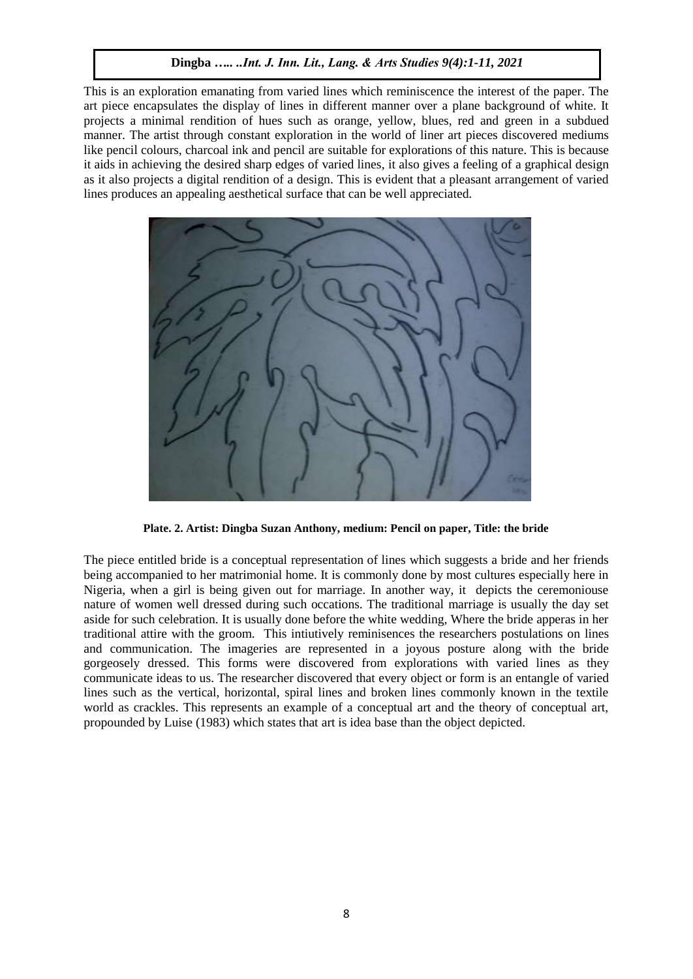This is an exploration emanating from varied lines which reminiscence the interest of the paper. The art piece encapsulates the display of lines in different manner over a plane background of white. It projects a minimal rendition of hues such as orange, yellow, blues, red and green in a subdued manner. The artist through constant exploration in the world of liner art pieces discovered mediums like pencil colours, charcoal ink and pencil are suitable for explorations of this nature. This is because it aids in achieving the desired sharp edges of varied lines, it also gives a feeling of a graphical design as it also projects a digital rendition of a design. This is evident that a pleasant arrangement of varied lines produces an appealing aesthetical surface that can be well appreciated.



**Plate. 2. Artist: Dingba Suzan Anthony, medium: Pencil on paper, Title: the bride**

The piece entitled bride is a conceptual representation of lines which suggests a bride and her friends being accompanied to her matrimonial home. It is commonly done by most cultures especially here in Nigeria, when a girl is being given out for marriage. In another way, it depicts the ceremoniouse nature of women well dressed during such occations. The traditional marriage is usually the day set aside for such celebration. It is usually done before the white wedding, Where the bride apperas in her traditional attire with the groom. This intiutively reminisences the researchers postulations on lines and communication. The imageries are represented in a joyous posture along with the bride gorgeosely dressed. This forms were discovered from explorations with varied lines as they communicate ideas to us. The researcher discovered that every object or form is an entangle of varied lines such as the vertical, horizontal, spiral lines and broken lines commonly known in the textile world as crackles. This represents an example of a conceptual art and the theory of conceptual art, propounded by Luise (1983) which states that art is idea base than the object depicted.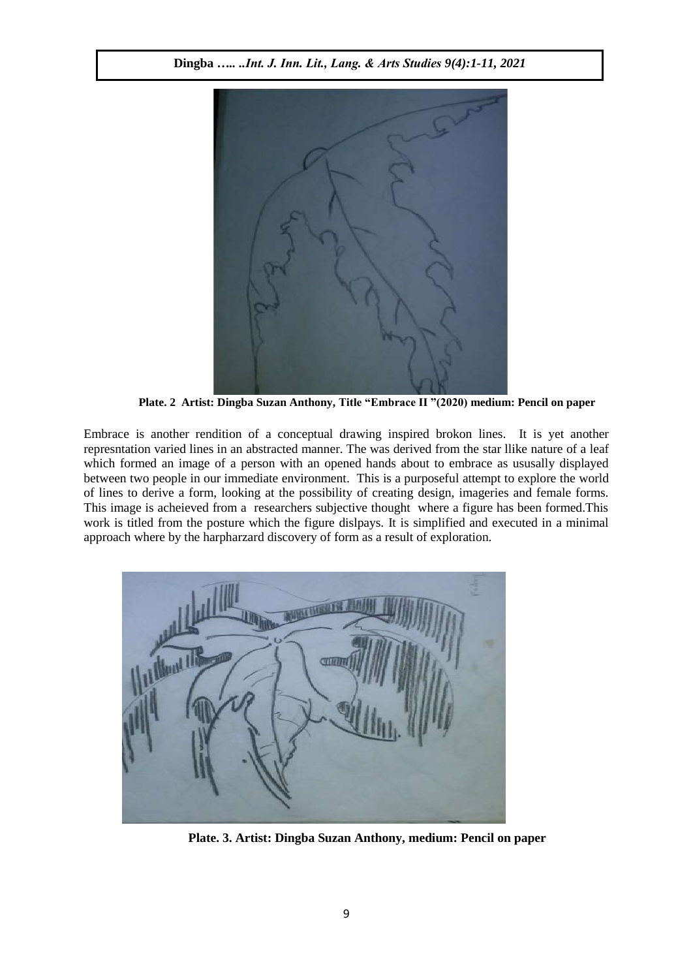

**Plate. 2 Artist: Dingba Suzan Anthony, Title "Embrace II "(2020) medium: Pencil on paper**

Embrace is another rendition of a conceptual drawing inspired brokon lines. It is yet another represntation varied lines in an abstracted manner. The was derived from the star llike nature of a leaf which formed an image of a person with an opened hands about to embrace as ususally displayed between two people in our immediate environment. This is a purposeful attempt to explore the world of lines to derive a form, looking at the possibility of creating design, imageries and female forms. This image is acheieved from a researchers subjective thought where a figure has been formed.This work is titled from the posture which the figure dislpays. It is simplified and executed in a minimal approach where by the harpharzard discovery of form as a result of exploration.



**Plate. 3. Artist: Dingba Suzan Anthony, medium: Pencil on paper**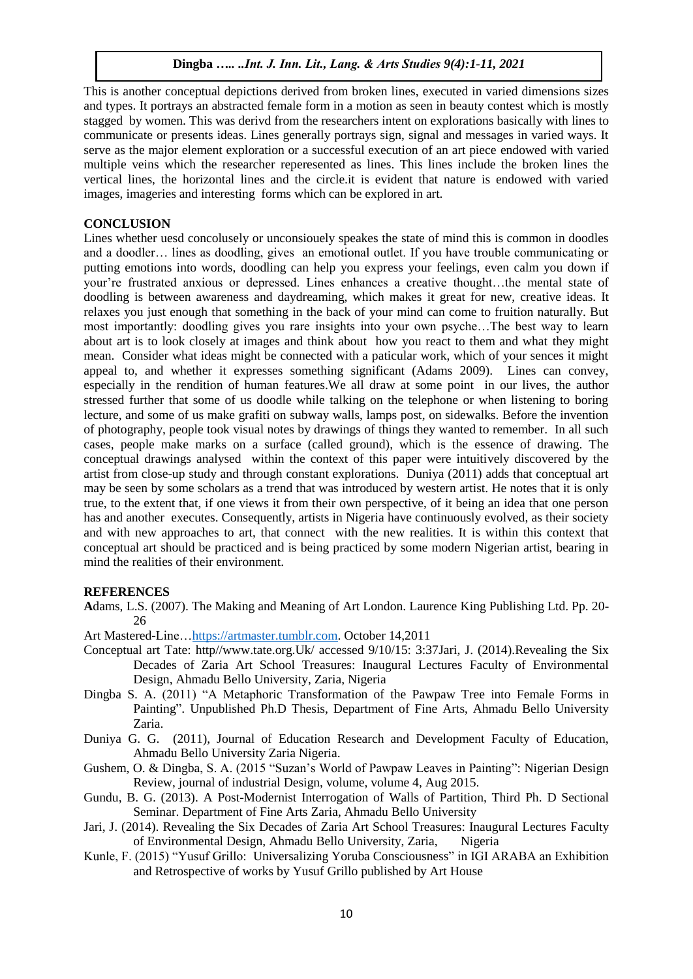This is another conceptual depictions derived from broken lines, executed in varied dimensions sizes and types. It portrays an abstracted female form in a motion as seen in beauty contest which is mostly stagged by women. This was derivd from the researchers intent on explorations basically with lines to communicate or presents ideas. Lines generally portrays sign, signal and messages in varied ways. It serve as the major element exploration or a successful execution of an art piece endowed with varied multiple veins which the researcher reperesented as lines. This lines include the broken lines the vertical lines, the horizontal lines and the circle.it is evident that nature is endowed with varied images, imageries and interesting forms which can be explored in art.

## **CONCLUSION**

Lines whether uesd concolusely or unconsiouely speakes the state of mind this is common in doodles and a doodler… lines as doodling, gives an emotional outlet. If you have trouble communicating or putting emotions into words, doodling can help you express your feelings, even calm you down if your're frustrated anxious or depressed. Lines enhances a creative thought…the mental state of doodling is between awareness and daydreaming, which makes it great for new, creative ideas. It relaxes you just enough that something in the back of your mind can come to fruition naturally. But most importantly: doodling gives you rare insights into your own psyche…The best way to learn about art is to look closely at images and think about how you react to them and what they might mean. Consider what ideas might be connected with a paticular work, which of your sences it might appeal to, and whether it expresses something significant (Adams 2009). Lines can convey, especially in the rendition of human features.We all draw at some point in our lives, the author stressed further that some of us doodle while talking on the telephone or when listening to boring lecture, and some of us make grafiti on subway walls, lamps post, on sidewalks. Before the invention of photography, people took visual notes by drawings of things they wanted to remember. In all such cases, people make marks on a surface (called ground), which is the essence of drawing. The conceptual drawings analysed within the context of this paper were intuitively discovered by the artist from close-up study and through constant explorations. Duniya (2011) adds that conceptual art may be seen by some scholars as a trend that was introduced by western artist. He notes that it is only true, to the extent that, if one views it from their own perspective, of it being an idea that one person has and another executes. Consequently, artists in Nigeria have continuously evolved, as their society and with new approaches to art, that connect with the new realities. It is within this context that conceptual art should be practiced and is being practiced by some modern Nigerian artist, bearing in mind the realities of their environment.

#### **REFERENCES**

- **A**dams, L.S. (2007). The Making and Meaning of Art London. Laurence King Publishing Ltd. Pp. 20- 26
- Art Mastered-Line[…https://artmaster.tumblr.com.](https://artmaster.tumblr.com/) October 14,2011
- Conceptual art Tate: http//www.tate.org.Uk/ accessed 9/10/15: 3:37Jari, J. (2014).Revealing the Six Decades of Zaria Art School Treasures: Inaugural Lectures Faculty of Environmental Design, Ahmadu Bello University, Zaria, Nigeria
- Dingba S. A. (2011) "A Metaphoric Transformation of the Pawpaw Tree into Female Forms in Painting". Unpublished Ph.D Thesis, Department of Fine Arts, Ahmadu Bello University Zaria.
- Duniya G. G. (2011), Journal of Education Research and Development Faculty of Education, Ahmadu Bello University Zaria Nigeria.
- Gushem, O. & Dingba, S. A. (2015 "Suzan's World of Pawpaw Leaves in Painting": Nigerian Design Review, journal of industrial Design, volume, volume 4, Aug 2015.
- Gundu, B. G. (2013). A Post-Modernist Interrogation of Walls of Partition, Third Ph. D Sectional Seminar. Department of Fine Arts Zaria, Ahmadu Bello University
- Jari, J. (2014). Revealing the Six Decades of Zaria Art School Treasures: Inaugural Lectures Faculty of Environmental Design, Ahmadu Bello University, Zaria, Nigeria
- Kunle, F. (2015) "Yusuf Grillo: Universalizing Yoruba Consciousness" in IGI ARABA an Exhibition and Retrospective of works by Yusuf Grillo published by Art House